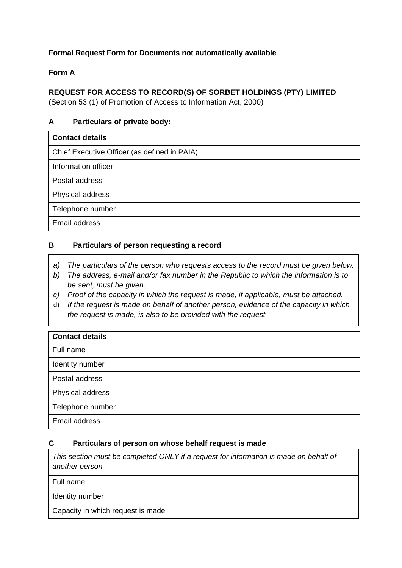# **Formal Request Form for Documents not automatically available**

# **Form A**

# **REQUEST FOR ACCESS TO RECORD(S) OF SORBET HOLDINGS (PTY) LIMITED**

(Section 53 (1) of Promotion of Access to Information Act, 2000)

### **A Particulars of private body:**

| <b>Contact details</b>                       |  |
|----------------------------------------------|--|
| Chief Executive Officer (as defined in PAIA) |  |
| Information officer                          |  |
| Postal address                               |  |
| Physical address                             |  |
| Telephone number                             |  |
| Email address                                |  |

#### **B Particulars of person requesting a record**

- *a) The particulars of the person who requests access to the record must be given below.*
- *b) The address, e-mail and/or fax number in the Republic to which the information is to be sent, must be given.*
- *c) Proof of the capacity in which the request is made, if applicable, must be attached.*
- d) *If the request is made on behalf of another person, evidence of the capacity in which the request is made, is also to be provided with the request.*

| <b>Contact details</b> |  |  |  |  |  |
|------------------------|--|--|--|--|--|
| Full name              |  |  |  |  |  |
| Identity number        |  |  |  |  |  |
| Postal address         |  |  |  |  |  |
| Physical address       |  |  |  |  |  |
| Telephone number       |  |  |  |  |  |
| Email address          |  |  |  |  |  |

#### **C Particulars of person on whose behalf request is made**

| This section must be completed ONLY if a request for information is made on behalf of<br>another person. |  |  |  |  |  |
|----------------------------------------------------------------------------------------------------------|--|--|--|--|--|
| Full name                                                                                                |  |  |  |  |  |
| Identity number                                                                                          |  |  |  |  |  |
| Capacity in which request is made                                                                        |  |  |  |  |  |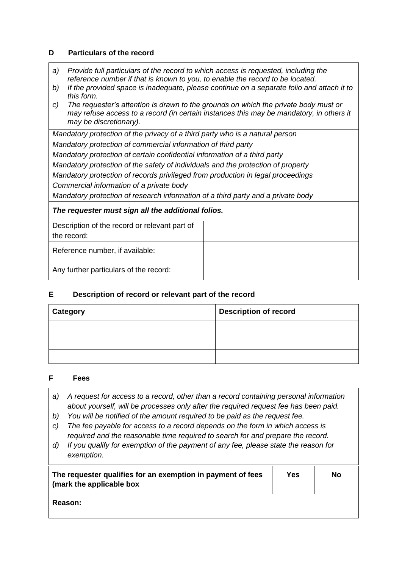#### **D Particulars of the record**

- *a) Provide full particulars of the record to which access is requested, including the reference number if that is known to you, to enable the record to be located.*
- *b) If the provided space is inadequate, please continue on a separate folio and attach it to this form.*
- *c) The requester's attention is drawn to the grounds on which the private body must or may refuse access to a record (in certain instances this may be mandatory, in others it may be discretionary).*

*Mandatory protection of the privacy of a third party who is a natural person Mandatory protection of commercial information of third party*

*Mandatory protection of certain confidential information of a third party*

*Mandatory protection of the safety of individuals and the protection of property*

*Mandatory protection of records privileged from production in legal proceedings*

*Commercial information of a private body*

*Mandatory protection of research information of a third party and a private body*

#### *The requester must sign all the additional folios.*

| Description of the record or relevant part of<br>the record: |  |
|--------------------------------------------------------------|--|
| Reference number, if available:                              |  |
| Any further particulars of the record:                       |  |

# **E Description of record or relevant part of the record**

| <b>Category</b> | <b>Description of record</b> |  |  |
|-----------------|------------------------------|--|--|
|                 |                              |  |  |
|                 |                              |  |  |
|                 |                              |  |  |

#### **F Fees**

- *a) A request for access to a record, other than a record containing personal information about yourself, will be processes only after the required request fee has been paid.*
- *b) You will be notified of the amount required to be paid as the request fee.*
- *c) The fee payable for access to a record depends on the form in which access is required and the reasonable time required to search for and prepare the record.*
- *d) If you qualify for exemption of the payment of any fee, please state the reason for exemption.*

| The requester qualifies for an exemption in payment of fees<br>(mark the applicable box | Yes | No |
|-----------------------------------------------------------------------------------------|-----|----|
| <b>Reason:</b>                                                                          |     |    |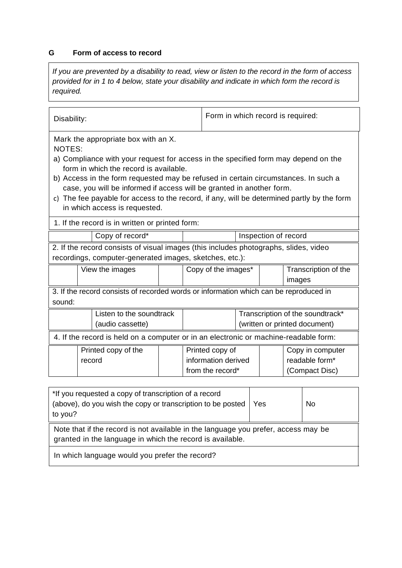# **G Form of access to record**

*If you are prevented by a disability to read, view or listen to the record in the form of access provided for in 1 to 4 below, state your disability and indicate in which form the record is required.*

| Disability:                                                                                                                                                                                                                                                                                                                                                                                                                                                                 |        |                     | Form in which record is required: |                     |                                                                   |  |        |                                                      |  |
|-----------------------------------------------------------------------------------------------------------------------------------------------------------------------------------------------------------------------------------------------------------------------------------------------------------------------------------------------------------------------------------------------------------------------------------------------------------------------------|--------|---------------------|-----------------------------------|---------------------|-------------------------------------------------------------------|--|--------|------------------------------------------------------|--|
| Mark the appropriate box with an X.<br>NOTES:<br>a) Compliance with your request for access in the specified form may depend on the<br>form in which the record is available.<br>b) Access in the form requested may be refused in certain circumstances. In such a<br>case, you will be informed if access will be granted in another form.<br>c) The fee payable for access to the record, if any, will be determined partly by the form<br>in which access is requested. |        |                     |                                   |                     |                                                                   |  |        |                                                      |  |
| 1. If the record is in written or printed form:                                                                                                                                                                                                                                                                                                                                                                                                                             |        |                     |                                   |                     |                                                                   |  |        |                                                      |  |
|                                                                                                                                                                                                                                                                                                                                                                                                                                                                             |        | Copy of record*     | Inspection of record              |                     |                                                                   |  |        |                                                      |  |
| 2. If the record consists of visual images (this includes photographs, slides, video<br>recordings, computer-generated images, sketches, etc.):                                                                                                                                                                                                                                                                                                                             |        |                     |                                   |                     |                                                                   |  |        |                                                      |  |
|                                                                                                                                                                                                                                                                                                                                                                                                                                                                             |        | View the images     |                                   | Copy of the images* |                                                                   |  | images | Transcription of the                                 |  |
| 3. If the record consists of recorded words or information which can be reproduced in<br>sound:                                                                                                                                                                                                                                                                                                                                                                             |        |                     |                                   |                     |                                                                   |  |        |                                                      |  |
| Listen to the soundtrack<br>(audio cassette)                                                                                                                                                                                                                                                                                                                                                                                                                                |        |                     |                                   |                     | Transcription of the soundtrack*<br>(written or printed document) |  |        |                                                      |  |
| 4. If the record is held on a computer or in an electronic or machine-readable form:                                                                                                                                                                                                                                                                                                                                                                                        |        |                     |                                   |                     |                                                                   |  |        |                                                      |  |
|                                                                                                                                                                                                                                                                                                                                                                                                                                                                             | record | Printed copy of the |                                   |                     | Printed copy of<br>information derived<br>from the record*        |  |        | Copy in computer<br>readable form*<br>(Compact Disc) |  |
| *If you requested a copy of transcription of a record                                                                                                                                                                                                                                                                                                                                                                                                                       |        |                     |                                   |                     |                                                                   |  |        |                                                      |  |

| *If you requested a copy of transcription of a record<br>(above), do you wish the copy or transcription to be posted<br>to you?                 | Yes | <b>No</b> |  |  |
|-------------------------------------------------------------------------------------------------------------------------------------------------|-----|-----------|--|--|
| Note that if the record is not available in the language you prefer, access may be<br>granted in the language in which the record is available. |     |           |  |  |
| In which language would you prefer the record?                                                                                                  |     |           |  |  |